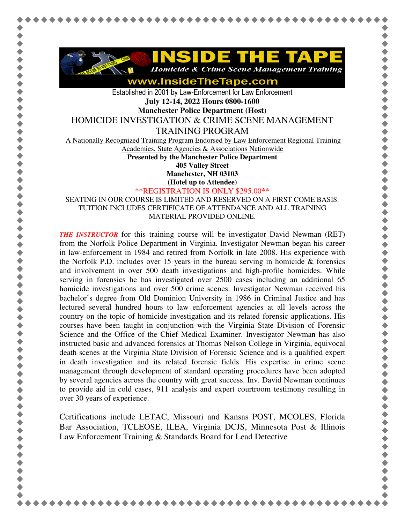

www.InsideTheTape.com

Established in 2001 by Law-Enforcement for Law Enforcement **July 12-14, 2022 Hours 0800-1600** 

**Manchester Police Department (Host)** 

HOMICIDE INVESTIGATION & CRIME SCENE MANAGEMENT

TRAINING PROGRAM

A Nationally Recognized Training Program Endorsed by Law Enforcement Regional Training

Academies, State Agencies & Associations Nationwide

**Presented by the Manchester Police Department 405 Valley Street** 

**Manchester, NH 03103** 

**(Hotel up to Attendee)**

\*\*REGISTRATION IS ONLY \$295.00\*\*

SEATING IN OUR COURSE IS LIMITED AND RESERVED ON A FIRST COME BASIS. TUITION INCLUDES CERTIFICATE OF ATTENDANCE AND ALL TRAINING MATERIAL PROVIDED ONLINE.

*THE INSTRUCTOR* for this training course will be investigator David Newman (RET) from the Norfolk Police Department in Virginia. Investigator Newman began his career in law-enforcement in 1984 and retired from Norfolk in late 2008. His experience with the Norfolk P.D. includes over 15 years in the bureau serving in homicide  $\&$  forensics and involvement in over 500 death investigations and high-profile homicides. While serving in forensics he has investigated over 2500 cases including an additional 65 homicide investigations and over 500 crime scenes. Investigator Newman received his bachelor's degree from Old Dominion University in 1986 in Criminal Justice and has lectured several hundred hours to law enforcement agencies at all levels across the country on the topic of homicide investigation and its related forensic applications. His courses have been taught in conjunction with the Virginia State Division of Forensic Science and the Office of the Chief Medical Examiner. Investigator Newman has also instructed basic and advanced forensics at Thomas Nelson College in Virginia, equivocal death scenes at the Virginia State Division of Forensic Science and is a qualified expert in death investigation and its related forensic fields. His expertise in crime scene management through development of standard operating procedures have been adopted by several agencies across the country with great success. Inv. David Newman continues to provide aid in cold cases, 911 analysis and expert courtroom testimony resulting in over 30 years of experience.

Certifications include LETAC, Missouri and Kansas POST, MCOLES, Florida Bar Association, TCLEOSE, ILEA, Virginia DCJS, Minnesota Post & Illinois Law Enforcement Training & Standards Board for Lead Detective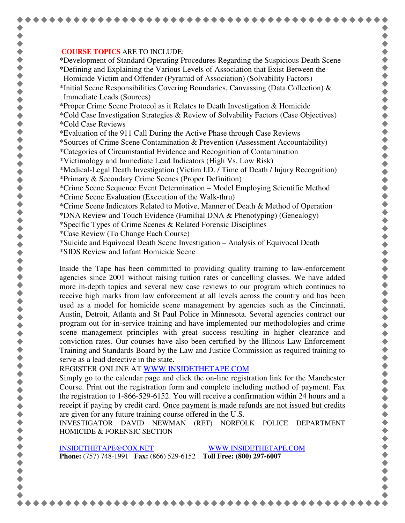## **COURSE TOPICS** ARE TO INCLUDE:

\*Development of Standard Operating Procedures Regarding the Suspicious Death Scene \*Defining and Explaining the Various Levels of Association that Exist Between the Homicide Victim and Offender (Pyramid of Association) (Solvability Factors)

- \*Initial Scene Responsibilities Covering Boundaries, Canvassing (Data Collection)  $\&$ Immediate Leads (Sources)
- \*Proper Crime Scene Protocol as it Relates to Death Investigation & Homicide
- \*Cold Case Investigation Strategies & Review of Solvability Factors (Case Objectives) \*Cold Case Reviews
- \*Evaluation of the 911 Call During the Active Phase through Case Reviews

\*Sources of Crime Scene Contamination & Prevention (Assessment Accountability)

- \*Categories of Circumstantial Evidence and Recognition of Contamination
- \*Victimology and Immediate Lead Indicators (High Vs. Low Risk)

\*Medical-Legal Death Investigation (Victim I.D. / Time of Death / Injury Recognition)

- \*Primary & Secondary Crime Scenes (Proper Definition)
- \*Crime Scene Sequence Event Determination Model Employing Scientific Method \*Crime Scene Evaluation (Execution of the Walk-thru)
- \*Crime Scene Indicators Related to Motive, Manner of Death & Method of Operation
- \*DNA Review and Touch Evidence (Familial DNA & Phenotyping) (Genealogy)
- \*Specific Types of Crime Scenes & Related Forensic Disciplines
- \*Case Review (To Change Each Course)
- \*Suicide and Equivocal Death Scene Investigation Analysis of Equivocal Death
- \*SIDS Review and Infant Homicide Scene

Inside the Tape has been committed to providing quality training to law-enforcement agencies since 2001 without raising tuition rates or cancelling classes. We have added more in-depth topics and several new case reviews to our program which continues to receive high marks from law enforcement at all levels across the country and has been used as a model for homicide scene management by agencies such as the Cincinnati, Austin, Detroit, Atlanta and St Paul Police in Minnesota. Several agencies contract our program out for in-service training and have implemented our methodologies and crime scene management principles with great success resulting in higher clearance and conviction rates. Our courses have also been certified by the Illinois Law Enforcement Training and Standards Board by the Law and Justice Commission as required training to serve as a lead detective in the state.

REGISTER ONLINE AT WWW.INSIDETHETAPE.COM

Simply go to the calendar page and click the on-line registration link for the Manchester Course. Print out the registration form and complete including method of payment. Fax the registration to 1-866-529-6152. You will receive a confirmation within 24 hours and a receipt if paying by credit card. Once payment is made refunds are not issued but credits are given for any future training course offered in the U.S.

INVESTIGATOR DAVID NEWMAN (RET) NORFOLK POLICE DEPARTMENT HOMICIDE & FORENSIC SECTION

INSIDETHETAPE@COX.NET WWW.INSIDETHETAPE.COM **Phone:** (757) 748-1991 **Fax:** (866) 529-6152 **Toll Free: (800) 297-6007**